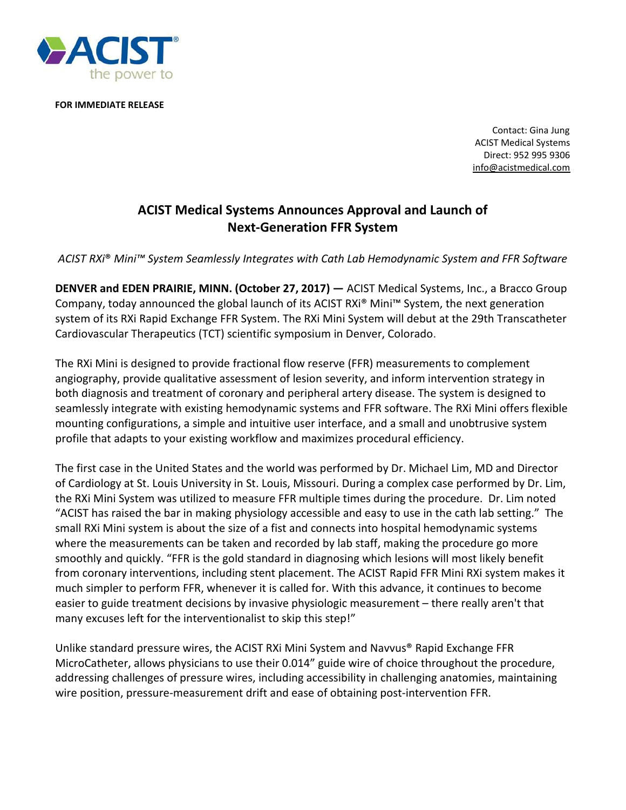

**FOR IMMEDIATE RELEASE**

 Contact: Gina Jung ACIST Medical Systems Direct: 952 995 9306 [info@acistmedical.com](mailto:info@acistmedical.com)

## **ACIST Medical Systems Announces Approval and Launch of Next-Generation FFR System**

*ACIST RXi*® *Mini™ System Seamlessly Integrates with Cath Lab Hemodynamic System and FFR Software*

**DENVER and EDEN PRAIRIE, MINN. (October 27, 2017) —** ACIST Medical Systems, Inc., a Bracco Group Company, today announced the global launch of its ACIST RXi® Mini™ System, the next generation system of its RXi Rapid Exchange FFR System. The RXi Mini System will debut at the 29th Transcatheter Cardiovascular Therapeutics (TCT) scientific symposium in Denver, Colorado.

The RXi Mini is designed to provide fractional flow reserve (FFR) measurements to complement angiography, provide qualitative assessment of lesion severity, and inform intervention strategy in both diagnosis and treatment of coronary and peripheral artery disease. The system is designed to seamlessly integrate with existing hemodynamic systems and FFR software. The RXi Mini offers flexible mounting configurations, a simple and intuitive user interface, and a small and unobtrusive system profile that adapts to your existing workflow and maximizes procedural efficiency.

The first case in the United States and the world was performed by Dr. Michael Lim, MD and Director of Cardiology at St. Louis University in St. Louis, Missouri. During a complex case performed by Dr. Lim, the RXi Mini System was utilized to measure FFR multiple times during the procedure. Dr. Lim noted "ACIST has raised the bar in making physiology accessible and easy to use in the cath lab setting." The small RXi Mini system is about the size of a fist and connects into hospital hemodynamic systems where the measurements can be taken and recorded by lab staff, making the procedure go more smoothly and quickly. "FFR is the gold standard in diagnosing which lesions will most likely benefit from coronary interventions, including stent placement. The ACIST Rapid FFR Mini RXi system makes it much simpler to perform FFR, whenever it is called for. With this advance, it continues to become easier to guide treatment decisions by invasive physiologic measurement – there really aren't that many excuses left for the interventionalist to skip this step!"

Unlike standard pressure wires, the ACIST RXi Mini System and Navvus® Rapid Exchange FFR MicroCatheter, allows physicians to use their 0.014" guide wire of choice throughout the procedure, addressing challenges of pressure wires, including accessibility in challenging anatomies, maintaining wire position, pressure-measurement drift and ease of obtaining post-intervention FFR.